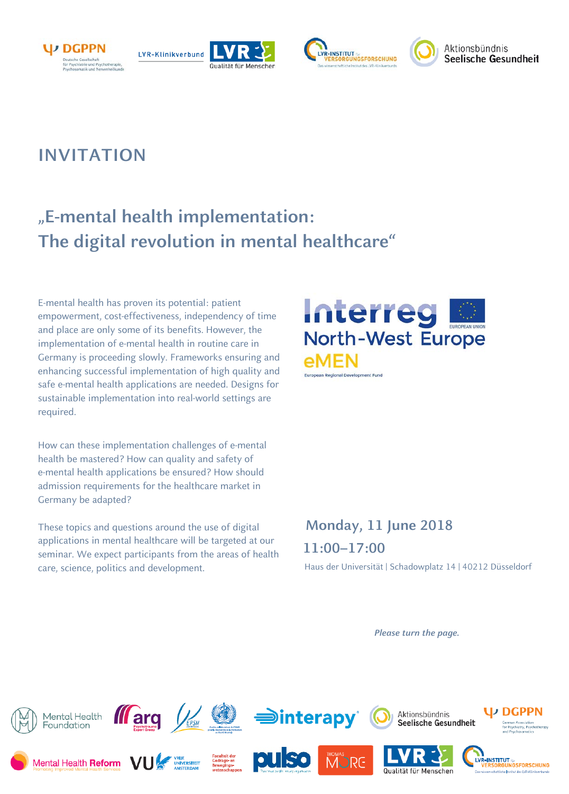







# **INVITATION**

# **"E-mental health implementation: The digital revolution in mental healthcare"**

E-mental health has proven its potential: patient empowerment, cost-effectiveness, independency of time and place are only some of its benefits. However, the implementation of e-mental health in routine care in Germany is proceeding slowly. Frameworks ensuring and enhancing successful implementation of high quality and safe e-mental health applications are needed. Designs for sustainable implementation into real-world settings are required.

How can these implementation challenges of e-mental health be mastered? How can quality and safety of e-mental health applications be ensured? How should admission requirements for the healthcare market in Germany be adapted?

These topics and questions around the use of digital applications in mental healthcare will be targeted at our seminar. We expect participants from the areas of health care, science, politics and development.



# **Monday, 11 June 2018 11:00–17:00**

Haus der Universität | Schadowplatz 14 | 40212 Düsseldorf

*Please turn the page.*